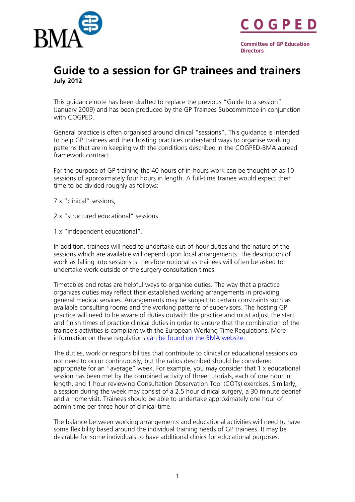



**Committee of GP Education Directors** 

## **Guide to a session for GP trainees and trainers July 2012**

This guidance note has been drafted to replace the previous "Guide to a session" (January 2009) and has been produced by the GP Trainees Subcommittee in conjunction with COGPED.

General practice is often organised around clinical "sessions". This guidance is intended to help GP trainees and their hosting practices understand ways to organise working patterns that are in keeping with the conditions described in the COGPED-BMA agreed framework contract.

For the purpose of GP training the 40 hours of in-hours work can be thought of as 10 sessions of approximately four hours in length. A full-time trainee would expect their time to be divided roughly as follows:

- 7 x "clinical" sessions,
- 2 x "structured educational" sessions
- 1 x "independent educational".

In addition, trainees will need to undertake out-of-hour duties and the nature of the sessions which are available will depend upon local arrangements. The description of work as falling into sessions is therefore notional as trainees will often be asked to undertake work outside of the surgery consultation times.

Timetables and rotas are helpful ways to organise duties. The way that a practice organizes duties may reflect their established working arrangements in providing general medical services. Arrangements may be subject to certain constraints such as available consulting rooms and the working patterns of supervisors. The hosting GP practice will need to be aware of duties outwith the practice and must adjust the start and finish times of practice clinical duties in order to ensure that the combination of the trainee's activities is compliant with the European Working Time Regulations. More information on these regulations [can be found on the BMA website.](http://bma.org.uk/practical-support-at-work/ewtd) 

The duties, work or responsibilities that contribute to clinical or educational sessions do not need to occur continuously, but the ratios described should be considered appropriate for an "average" week. For example, you may consider that 1 x educational session has been met by the combined activity of three tutorials, each of one hour in length, and 1 hour reviewing Consultation Observation Tool (COTs) exercises. Similarly, a session during the week may consist of a 2.5 hour clinical surgery, a 30 minute debrief and a home visit. Trainees should be able to undertake approximately one hour of admin time per three hour of clinical time.

The balance between working arrangements and educational activities will need to have some flexibility based around the individual training needs of GP trainees. It may be desirable for some individuals to have additional clinics for educational purposes.